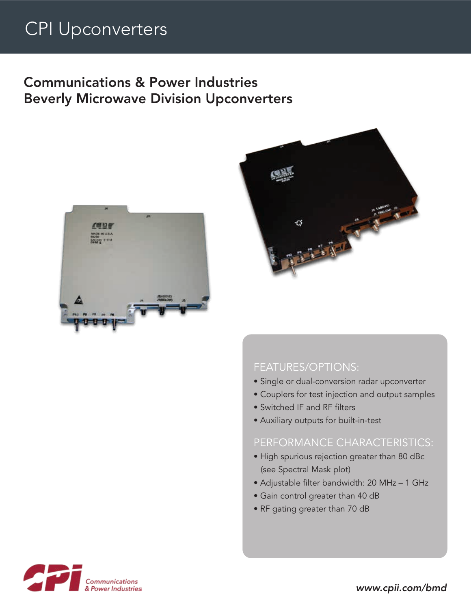# CPI Upconverters

## Communications & Power Industries Beverly Microwave Division Upconverters





#### FEATURES/OPTIONS:

- Single or dual-conversion radar upconverter
- Couplers for test injection and output samples
- Switched IF and RF filters
- Auxiliary outputs for built-in-test

#### PERFORMANCE CHARACTERISTICS:

- High spurious rejection greater than 80 dBc (see Spectral Mask plot)
- Adjustable filter bandwidth: 20 MHz 1 GHz
- Gain control greater than 40 dB
- RF gating greater than 70 dB



*www.cpii.com/bmd*